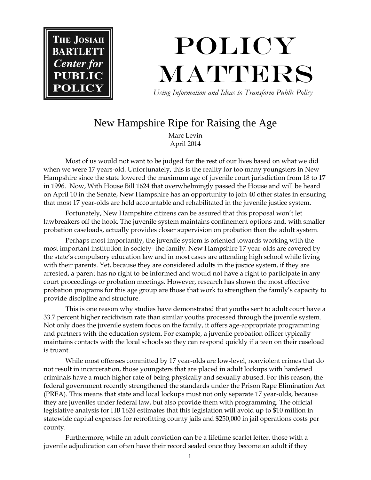

## POLICY **MATTERS**  *Using Information and Ideas to Transform Public Policy*

## New Hampshire Ripe for Raising the Age

Marc Levin April 2014

Most of us would not want to be judged for the rest of our lives based on what we did when we were 17 years-old. Unfortunately, this is the reality for too many youngsters in New Hampshire since the state lowered the maximum age of juvenile court jurisdiction from 18 to 17 in 1996. Now, With House Bill 1624 that overwhelmingly passed the House and will be heard on April 10 in the Senate, New Hampshire has an opportunity to join 40 other states in ensuring that most 17 year-olds are held accountable and rehabilitated in the juvenile justice system.

Fortunately, New Hampshire citizens can be assured that this proposal won't let lawbreakers off the hook. The juvenile system maintains confinement options and, with smaller probation caseloads, actually provides closer supervision on probation than the adult system.

Perhaps most importantly, the juvenile system is oriented towards working with the most important institution in society- the family. New Hampshire 17 year-olds are covered by the state's compulsory education law and in most cases are attending high school while living with their parents. Yet, because they are considered adults in the justice system, if they are arrested, a parent has no right to be informed and would not have a right to participate in any court proceedings or probation meetings. However, research has shown the most effective probation programs for this age group are those that work to strengthen the family's capacity to provide discipline and structure.

This is one reason why studies have demonstrated that youths sent to adult court have a 33.7 percent higher recidivism rate than similar youths processed through the juvenile system. Not only does the juvenile system focus on the family, it offers age-appropriate programming and partners with the education system. For example, a juvenile probation officer typically maintains contacts with the local schools so they can respond quickly if a teen on their caseload is truant.

While most offenses committed by 17 year-olds are low-level, nonviolent crimes that do not result in incarceration, those youngsters that are placed in adult lockups with hardened criminals have a much higher rate of being physically and sexually abused. For this reason, the federal government recently strengthened the standards under the Prison Rape Elimination Act (PREA). This means that state and local lockups must not only separate 17 year-olds, because they are juveniles under federal law, but also provide them with programming. The official legislative analysis for HB 1624 estimates that this legislation will avoid up to \$10 million in statewide capital expenses for retrofitting county jails and \$250,000 in jail operations costs per county.

Furthermore, while an adult conviction can be a lifetime scarlet letter, those with a juvenile adjudication can often have their record sealed once they become an adult if they